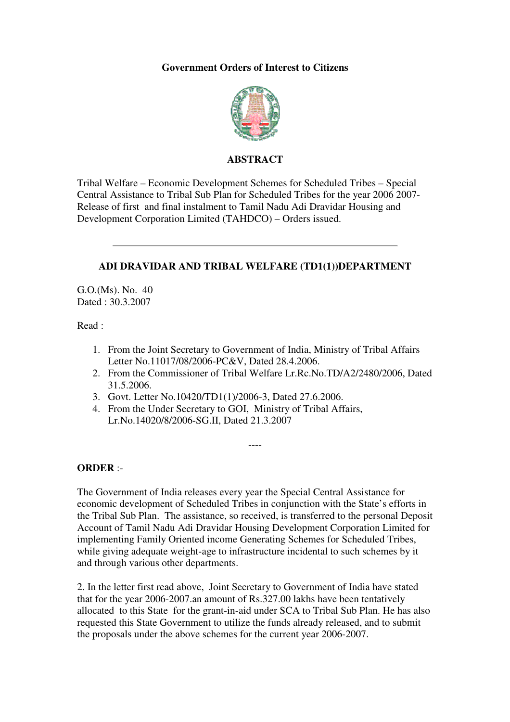#### **Government Orders of Interest to Citizens**



#### **ABSTRACT**

Tribal Welfare – Economic Development Schemes for Scheduled Tribes – Special Central Assistance to Tribal Sub Plan for Scheduled Tribes for the year 2006 2007- Release of first and final instalment to Tamil Nadu Adi Dravidar Housing and Development Corporation Limited (TAHDCO) – Orders issued.

#### **ADI DRAVIDAR AND TRIBAL WELFARE (TD1(1))DEPARTMENT**

G.O.(Ms). No. 40 Dated : 30.3.2007

Read :

- 1. From the Joint Secretary to Government of India, Ministry of Tribal Affairs Letter No.11017/08/2006-PC&V, Dated 28.4.2006.
- 2. From the Commissioner of Tribal Welfare Lr.Rc.No.TD/A2/2480/2006, Dated 31.5.2006.
- 3. Govt. Letter No.10420/TD1(1)/2006-3, Dated 27.6.2006.
- 4. From the Under Secretary to GOI, Ministry of Tribal Affairs, Lr.No.14020/8/2006-SG.II, Dated 21.3.2007

#### **ORDER** :-

The Government of India releases every year the Special Central Assistance for economic development of Scheduled Tribes in conjunction with the State's efforts in the Tribal Sub Plan. The assistance, so received, is transferred to the personal Deposit Account of Tamil Nadu Adi Dravidar Housing Development Corporation Limited for implementing Family Oriented income Generating Schemes for Scheduled Tribes, while giving adequate weight-age to infrastructure incidental to such schemes by it and through various other departments.

----

2. In the letter first read above, Joint Secretary to Government of India have stated that for the year 2006-2007.an amount of Rs.327.00 lakhs have been tentatively allocated to this State for the grant-in-aid under SCA to Tribal Sub Plan. He has also requested this State Government to utilize the funds already released, and to submit the proposals under the above schemes for the current year 2006-2007.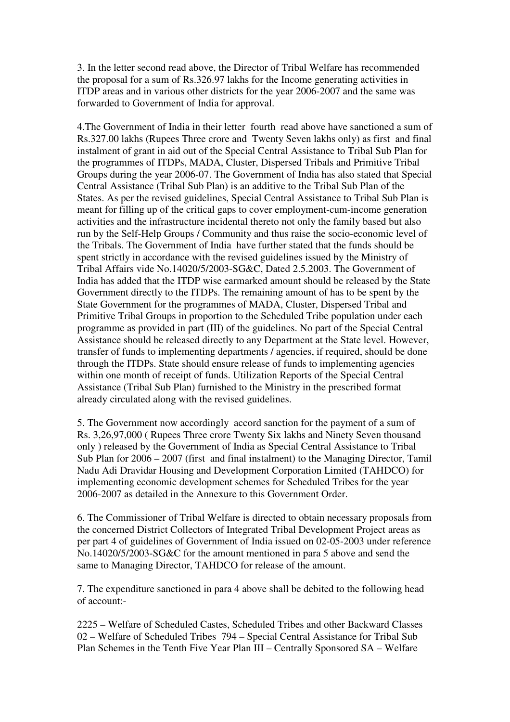3. In the letter second read above, the Director of Tribal Welfare has recommended the proposal for a sum of Rs.326.97 lakhs for the Income generating activities in ITDP areas and in various other districts for the year 2006-2007 and the same was forwarded to Government of India for approval.

4.The Government of India in their letter fourth read above have sanctioned a sum of Rs.327.00 lakhs (Rupees Three crore and Twenty Seven lakhs only) as first and final instalment of grant in aid out of the Special Central Assistance to Tribal Sub Plan for the programmes of ITDPs, MADA, Cluster, Dispersed Tribals and Primitive Tribal Groups during the year 2006-07. The Government of India has also stated that Special Central Assistance (Tribal Sub Plan) is an additive to the Tribal Sub Plan of the States. As per the revised guidelines, Special Central Assistance to Tribal Sub Plan is meant for filling up of the critical gaps to cover employment-cum-income generation activities and the infrastructure incidental thereto not only the family based but also run by the Self-Help Groups / Community and thus raise the socio-economic level of the Tribals. The Government of India have further stated that the funds should be spent strictly in accordance with the revised guidelines issued by the Ministry of Tribal Affairs vide No.14020/5/2003-SG&C, Dated 2.5.2003. The Government of India has added that the ITDP wise earmarked amount should be released by the State Government directly to the ITDPs. The remaining amount of has to be spent by the State Government for the programmes of MADA, Cluster, Dispersed Tribal and Primitive Tribal Groups in proportion to the Scheduled Tribe population under each programme as provided in part (III) of the guidelines. No part of the Special Central Assistance should be released directly to any Department at the State level. However, transfer of funds to implementing departments / agencies, if required, should be done through the ITDPs. State should ensure release of funds to implementing agencies within one month of receipt of funds. Utilization Reports of the Special Central Assistance (Tribal Sub Plan) furnished to the Ministry in the prescribed format already circulated along with the revised guidelines.

5. The Government now accordingly accord sanction for the payment of a sum of Rs. 3,26,97,000 ( Rupees Three crore Twenty Six lakhs and Ninety Seven thousand only ) released by the Government of India as Special Central Assistance to Tribal Sub Plan for 2006 – 2007 (first and final instalment) to the Managing Director, Tamil Nadu Adi Dravidar Housing and Development Corporation Limited (TAHDCO) for implementing economic development schemes for Scheduled Tribes for the year 2006-2007 as detailed in the Annexure to this Government Order.

6. The Commissioner of Tribal Welfare is directed to obtain necessary proposals from the concerned District Collectors of Integrated Tribal Development Project areas as per part 4 of guidelines of Government of India issued on 02-05-2003 under reference No.14020/5/2003-SG&C for the amount mentioned in para 5 above and send the same to Managing Director, TAHDCO for release of the amount.

7. The expenditure sanctioned in para 4 above shall be debited to the following head of account:-

2225 – Welfare of Scheduled Castes, Scheduled Tribes and other Backward Classes 02 – Welfare of Scheduled Tribes 794 – Special Central Assistance for Tribal Sub Plan Schemes in the Tenth Five Year Plan III – Centrally Sponsored SA – Welfare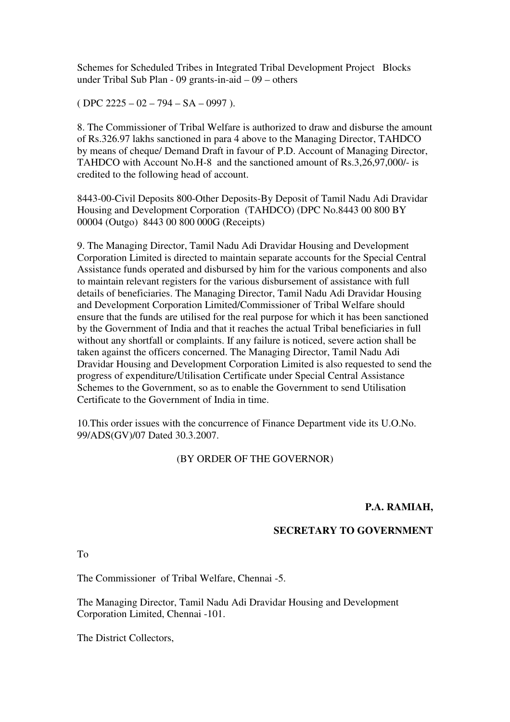Schemes for Scheduled Tribes in Integrated Tribal Development Project Blocks under Tribal Sub Plan - 09 grants-in-aid – 09 – others

 $($  DPC 2225 – 02 – 794 – SA – 0997 ).

8. The Commissioner of Tribal Welfare is authorized to draw and disburse the amount of Rs.326.97 lakhs sanctioned in para 4 above to the Managing Director, TAHDCO by means of cheque/ Demand Draft in favour of P.D. Account of Managing Director, TAHDCO with Account No.H-8 and the sanctioned amount of Rs.3,26,97,000/- is credited to the following head of account.

8443-00-Civil Deposits 800-Other Deposits-By Deposit of Tamil Nadu Adi Dravidar Housing and Development Corporation (TAHDCO) (DPC No.8443 00 800 BY 00004 (Outgo) 8443 00 800 000G (Receipts)

9. The Managing Director, Tamil Nadu Adi Dravidar Housing and Development Corporation Limited is directed to maintain separate accounts for the Special Central Assistance funds operated and disbursed by him for the various components and also to maintain relevant registers for the various disbursement of assistance with full details of beneficiaries. The Managing Director, Tamil Nadu Adi Dravidar Housing and Development Corporation Limited/Commissioner of Tribal Welfare should ensure that the funds are utilised for the real purpose for which it has been sanctioned by the Government of India and that it reaches the actual Tribal beneficiaries in full without any shortfall or complaints. If any failure is noticed, severe action shall be taken against the officers concerned. The Managing Director, Tamil Nadu Adi Dravidar Housing and Development Corporation Limited is also requested to send the progress of expenditure/Utilisation Certificate under Special Central Assistance Schemes to the Government, so as to enable the Government to send Utilisation Certificate to the Government of India in time.

10.This order issues with the concurrence of Finance Department vide its U.O.No. 99/ADS(GV)/07 Dated 30.3.2007.

#### (BY ORDER OF THE GOVERNOR)

#### **P.A. RAMIAH,**

#### **SECRETARY TO GOVERNMENT**

To

The Commissioner of Tribal Welfare, Chennai -5.

The Managing Director, Tamil Nadu Adi Dravidar Housing and Development Corporation Limited, Chennai -101.

The District Collectors,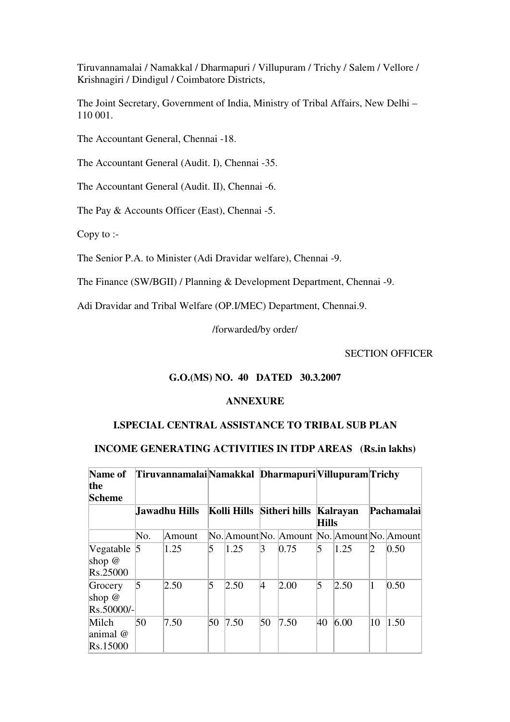Tiruvannamalai / Namakkal / Dharmapuri / Villupuram / Trichy / Salem / Vellore / Krishnagiri / Dindigul / Coimbatore Districts,

The Joint Secretary, Government of India, Ministry of Tribal Affairs, New Delhi – 110 001.

The Accountant General, Chennai -18.

The Accountant General (Audit. I), Chennai -35.

The Accountant General (Audit. II), Chennai -6.

The Pay & Accounts Officer (East), Chennai -5.

Copy to :-

The Senior P.A. to Minister (Adi Dravidar welfare), Chennai -9.

The Finance (SW/BGII) / Planning & Development Department, Chennai -9.

Adi Dravidar and Tribal Welfare (OP.I/MEC) Department, Chennai.9.

/forwarded/by order/

SECTION OFFICER

#### **G.O.(MS) NO. 40 DATED 30.3.2007**

#### **ANNEXURE**

#### **I.SPECIAL CENTRAL ASSISTANCE TO TRIBAL SUB PLAN**

#### **INCOME GENERATING ACTIVITIES IN ITDP AREAS (Rs.in lakhs)**

| Name of<br>the<br>Scheme          |     | TiruvannamalaiNamakkal Dharmapuri Villupuram Trichy |                |                           |    |                                             |              |          |    |                   |
|-----------------------------------|-----|-----------------------------------------------------|----------------|---------------------------|----|---------------------------------------------|--------------|----------|----|-------------------|
|                                   |     | Jawadhu Hills!                                      |                | Kolli Hills Sitheri hills |    |                                             | <b>Hills</b> | Kalrayan |    | <b>Pachamalai</b> |
|                                   | No. | Amount                                              |                |                           |    | No. Amount No. Amount No. Amount No. Amount |              |          |    |                   |
| Vegatable<br>shop $@$<br>Rs.25000 | 15  | 1.25                                                | 5              | 1.25                      | 3  | 0.75                                        | 5            | 1.25     | D  | 0.50              |
| Grocery<br>shop $@$<br>Rs.50000/- | 5   | 2.50                                                | $\overline{5}$ | 2.50                      | 4  | 2.00                                        | 5            | 2.50     | 1  | 0.50              |
| Milch<br>animal @<br>Rs.15000     | 50  | 7.50                                                | 50             | 7.50                      | 50 | 7.50                                        | 40           | 6.00     | 10 | 1.50              |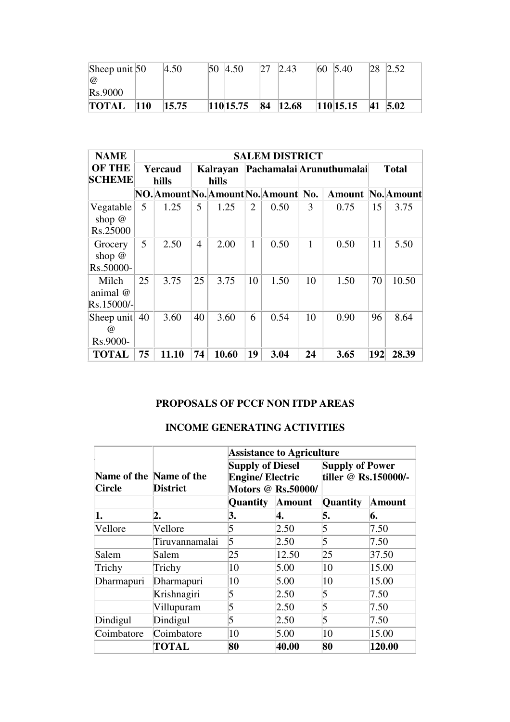| Sheep unit $50$ |               | 4.50  | $ 50 \t4.50 $ | 27 | 2.43     | $ 60 \t5.40$ | 28 | 2.52    |
|-----------------|---------------|-------|---------------|----|----------|--------------|----|---------|
| $\overline{a}$  |               |       |               |    |          |              |    |         |
| <b>Rs.9000</b>  |               |       |               |    |          |              |    |         |
| <b>TOTAL</b>    | $ 110\rangle$ | 15.75 | 110 15.75     |    | 84 12.68 | 110 15.15    |    | 41 5.02 |

| <b>NAME</b>                                        | <b>SALEM DISTRICT</b> |       |                   |       |                |                                       |                          |        |              |            |
|----------------------------------------------------|-----------------------|-------|-------------------|-------|----------------|---------------------------------------|--------------------------|--------|--------------|------------|
| <b>OF THE</b><br>Yercaud<br><b>SCHEME</b><br>hills |                       |       | Kalrayan<br>hills |       |                |                                       | Pachamalai Arunuthumalai |        | <b>Total</b> |            |
|                                                    |                       |       |                   |       |                | NO. Amount No. Amount No. Amount  No. |                          | Amount |              | No. Amount |
| Vegatable<br>shop $@$<br>Rs.25000                  | 5                     | 1.25  | 5                 | 1.25  | $\overline{2}$ | 0.50                                  | 3                        | 0.75   | 15           | 3.75       |
| Grocery<br>shop $@$<br>Rs.50000-                   | 5                     | 2.50  | 4                 | 2.00  | $\mathbf{1}$   | 0.50                                  | $\mathbf{1}$             | 0.50   | 11           | 5.50       |
| Milch<br>animal @<br>Rs.15000/-                    | 25                    | 3.75  | 25                | 3.75  | 10             | 1.50                                  | 10                       | 1.50   | 70           | 10.50      |
| Sheep unit<br>$\omega$<br>Rs.9000-                 | 40                    | 3.60  | 40                | 3.60  | 6              | 0.54                                  | 10                       | 0.90   | 96           | 8.64       |
| <b>TOTAL</b>                                       | 75                    | 11.10 | 74                | 10.60 | 19             | 3.04                                  | 24                       | 3.65   | 192          | 28.39      |

### **PROPOSALS OF PCCF NON ITDP AREAS**

### **INCOME GENERATING ACTIVITIES**

|               |                                            | <b>Assistance to Agriculture</b>                                                |               |                                                |        |  |
|---------------|--------------------------------------------|---------------------------------------------------------------------------------|---------------|------------------------------------------------|--------|--|
| <b>Circle</b> | Name of the Name of the<br><b>District</b> | <b>Supply of Diesel</b><br><b>Engine/ Electric</b><br><b>Motors @ Rs.50000/</b> |               | <b>Supply of Power</b><br>tiller @ Rs.150000/- |        |  |
|               |                                            | <b>Quantity</b>                                                                 | <b>Amount</b> | Quantity                                       | Amount |  |
| 1.            | 2.                                         | 3.                                                                              | 4.            | 5.                                             | 6.     |  |
| Vellore       | Vellore                                    | 5                                                                               | 2.50          | 5                                              | 7.50   |  |
|               | Tiruvannamalai                             | 5                                                                               | 2.50          | 5                                              | 7.50   |  |
| Salem         | Salem                                      | 25                                                                              | 12.50         | 25                                             | 37.50  |  |
| Trichy        | Trichy                                     | 10                                                                              | 5.00          | 10                                             | 15.00  |  |
| Dharmapuri    | Dharmapuri                                 | 10                                                                              | 5.00          | 10                                             | 15.00  |  |
|               | Krishnagiri                                | 5                                                                               | 2.50          | 5                                              | 7.50   |  |
|               | Villupuram                                 | 5                                                                               | 2.50          | 5                                              | 7.50   |  |
| Dindigul      | Dindigul                                   | 5                                                                               | 2.50          | 5                                              | 7.50   |  |
| Coimbatore    | Coimbatore                                 | 10                                                                              | 5.00          | 10                                             | 15.00  |  |
|               | TOTAL                                      | 80                                                                              | 40.00         | 80                                             | 120.00 |  |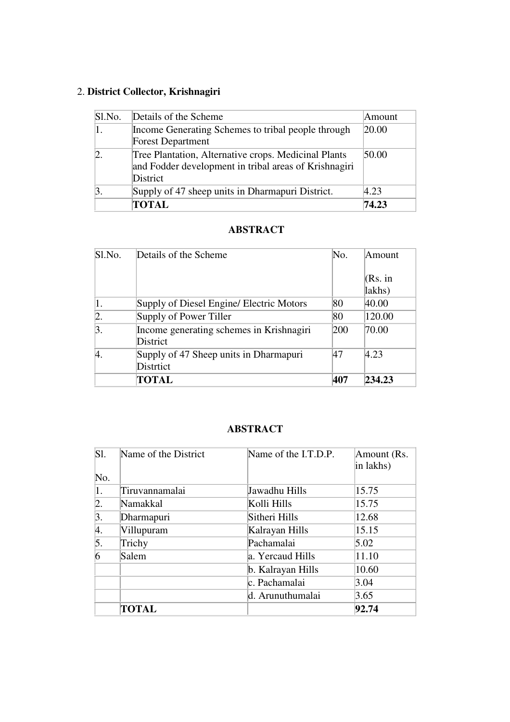# 2. **District Collector, Krishnagiri**

| Sl.No. | Details of the Scheme                                                                                                     | Amount         |
|--------|---------------------------------------------------------------------------------------------------------------------------|----------------|
|        | Income Generating Schemes to tribal people through                                                                        | 20.00          |
|        | <b>Forest Department</b>                                                                                                  |                |
|        | Tree Plantation, Alternative crops. Medicinal Plants<br>and Fodder development in tribal areas of Krishnagiri<br>District | 50.00          |
|        | Supply of 47 sheep units in Dharmapuri District.                                                                          | $ 4.23\rangle$ |
|        | <b>TOTAL</b>                                                                                                              | 74.23          |

### **ABSTRACT**

| Sl.No.           | Details of the Scheme                                | No. | Amount            |
|------------------|------------------------------------------------------|-----|-------------------|
|                  |                                                      |     | (Rs. in<br>lakhs) |
|                  | Supply of Diesel Engine/ Electric Motors             | 80  | 40.00             |
| $\vert 2. \vert$ | Supply of Power Tiller                               | 80  | 120.00            |
| 3.               | Income generating schemes in Krishnagiri<br>District | 200 | 70.00             |
|                  | Supply of 47 Sheep units in Dharmapuri<br>Distrtict  | 47  | 4.23              |
|                  | TOTAL                                                | 407 | 234.23            |

### **ABSTRACT**

| Sl. | Name of the District | Name of the I.T.D.P. | Amount (Rs.<br>in lakhs) |
|-----|----------------------|----------------------|--------------------------|
| No. |                      |                      |                          |
| 1.  | Tiruvannamalai       | Jawadhu Hills        | 15.75                    |
| 2.  | Namakkal             | Kolli Hills          | 15.75                    |
| 3.  | Dharmapuri           | Sitheri Hills        | 12.68                    |
| 4.  | Villupuram           | Kalrayan Hills       | 15.15                    |
| 5.  | Trichy               | Pachamalai           | 5.02                     |
| 6   | Salem                | a. Yercaud Hills     | 11.10                    |
|     |                      | b. Kalrayan Hills    | 10.60                    |
|     |                      | c. Pachamalai        | 3.04                     |
|     |                      | d. Arunuthumalai     | 3.65                     |
|     | <b>TOTAL</b>         |                      | 92.74                    |